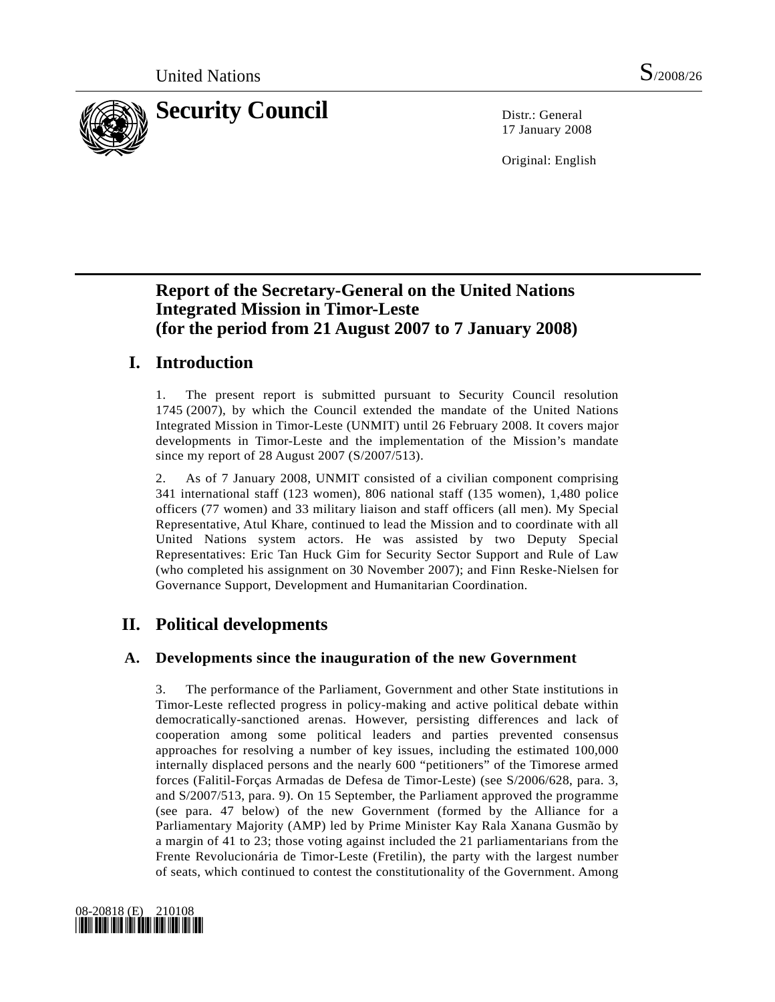

17 January 2008

Original: English

# **Report of the Secretary-General on the United Nations Integrated Mission in Timor-Leste (for the period from 21 August 2007 to 7 January 2008)**

# **I. Introduction**

1. The present report is submitted pursuant to Security Council resolution 1745 (2007), by which the Council extended the mandate of the United Nations Integrated Mission in Timor-Leste (UNMIT) until 26 February 2008. It covers major developments in Timor-Leste and the implementation of the Mission's mandate since my report of 28 August 2007 (S/2007/513).

2. As of 7 January 2008, UNMIT consisted of a civilian component comprising 341 international staff (123 women), 806 national staff (135 women), 1,480 police officers (77 women) and 33 military liaison and staff officers (all men). My Special Representative, Atul Khare, continued to lead the Mission and to coordinate with all United Nations system actors. He was assisted by two Deputy Special Representatives: Eric Tan Huck Gim for Security Sector Support and Rule of Law (who completed his assignment on 30 November 2007); and Finn Reske-Nielsen for Governance Support, Development and Humanitarian Coordination.

# **II. Political developments**

### **A. Developments since the inauguration of the new Government**

3. The performance of the Parliament, Government and other State institutions in Timor-Leste reflected progress in policy-making and active political debate within democratically-sanctioned arenas. However, persisting differences and lack of cooperation among some political leaders and parties prevented consensus approaches for resolving a number of key issues, including the estimated 100,000 internally displaced persons and the nearly 600 "petitioners" of the Timorese armed forces (Falitil-Forças Armadas de Defesa de Timor-Leste) (see S/2006/628, para. 3, and S/2007/513, para. 9). On 15 September, the Parliament approved the programme (see para. 47 below) of the new Government (formed by the Alliance for a Parliamentary Majority (AMP) led by Prime Minister Kay Rala Xanana Gusmão by a margin of 41 to 23; those voting against included the 21 parliamentarians from the Frente Revolucionária de Timor-Leste (Fretilin), the party with the largest number of seats, which continued to contest the constitutionality of the Government. Among

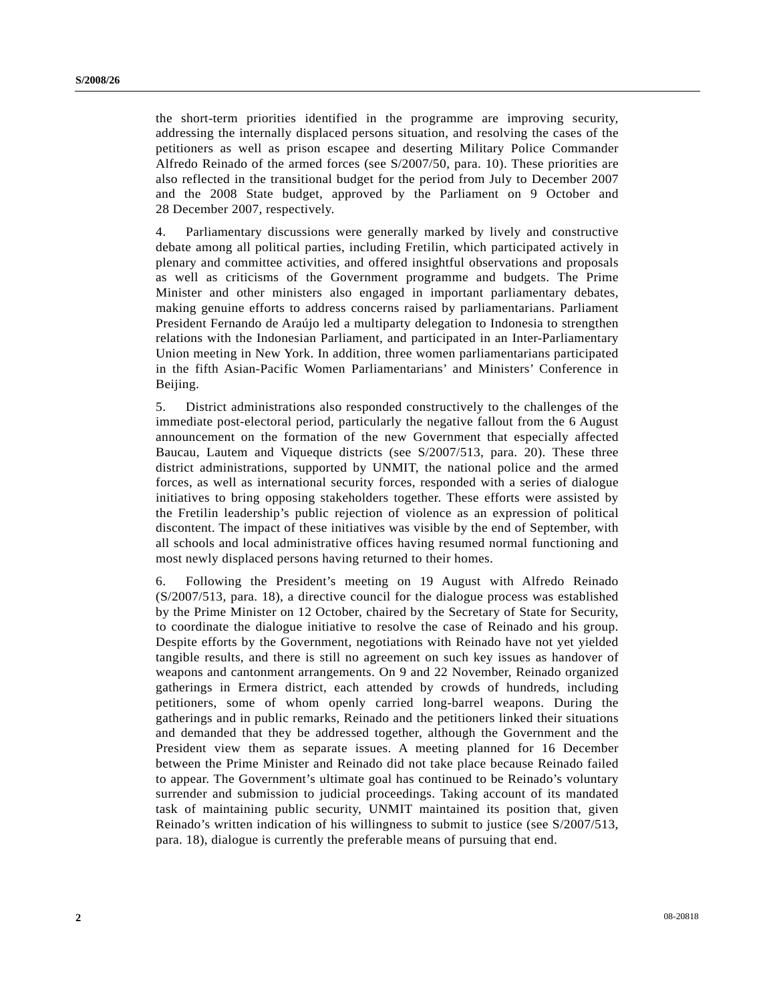the short-term priorities identified in the programme are improving security, addressing the internally displaced persons situation, and resolving the cases of the petitioners as well as prison escapee and deserting Military Police Commander Alfredo Reinado of the armed forces (see S/2007/50, para. 10). These priorities are also reflected in the transitional budget for the period from July to December 2007 and the 2008 State budget, approved by the Parliament on 9 October and 28 December 2007, respectively.

4. Parliamentary discussions were generally marked by lively and constructive debate among all political parties, including Fretilin, which participated actively in plenary and committee activities, and offered insightful observations and proposals as well as criticisms of the Government programme and budgets. The Prime Minister and other ministers also engaged in important parliamentary debates, making genuine efforts to address concerns raised by parliamentarians. Parliament President Fernando de Araújo led a multiparty delegation to Indonesia to strengthen relations with the Indonesian Parliament, and participated in an Inter-Parliamentary Union meeting in New York. In addition, three women parliamentarians participated in the fifth Asian-Pacific Women Parliamentarians' and Ministers' Conference in Beijing.

5. District administrations also responded constructively to the challenges of the immediate post-electoral period, particularly the negative fallout from the 6 August announcement on the formation of the new Government that especially affected Baucau, Lautem and Viqueque districts (see S/2007/513, para. 20). These three district administrations, supported by UNMIT, the national police and the armed forces, as well as international security forces, responded with a series of dialogue initiatives to bring opposing stakeholders together. These efforts were assisted by the Fretilin leadership's public rejection of violence as an expression of political discontent. The impact of these initiatives was visible by the end of September, with all schools and local administrative offices having resumed normal functioning and most newly displaced persons having returned to their homes.

6. Following the President's meeting on 19 August with Alfredo Reinado (S/2007/513, para. 18), a directive council for the dialogue process was established by the Prime Minister on 12 October, chaired by the Secretary of State for Security, to coordinate the dialogue initiative to resolve the case of Reinado and his group. Despite efforts by the Government, negotiations with Reinado have not yet yielded tangible results, and there is still no agreement on such key issues as handover of weapons and cantonment arrangements. On 9 and 22 November, Reinado organized gatherings in Ermera district, each attended by crowds of hundreds, including petitioners, some of whom openly carried long-barrel weapons. During the gatherings and in public remarks, Reinado and the petitioners linked their situations and demanded that they be addressed together, although the Government and the President view them as separate issues. A meeting planned for 16 December between the Prime Minister and Reinado did not take place because Reinado failed to appear. The Government's ultimate goal has continued to be Reinado's voluntary surrender and submission to judicial proceedings. Taking account of its mandated task of maintaining public security, UNMIT maintained its position that, given Reinado's written indication of his willingness to submit to justice (see S/2007/513, para. 18), dialogue is currently the preferable means of pursuing that end.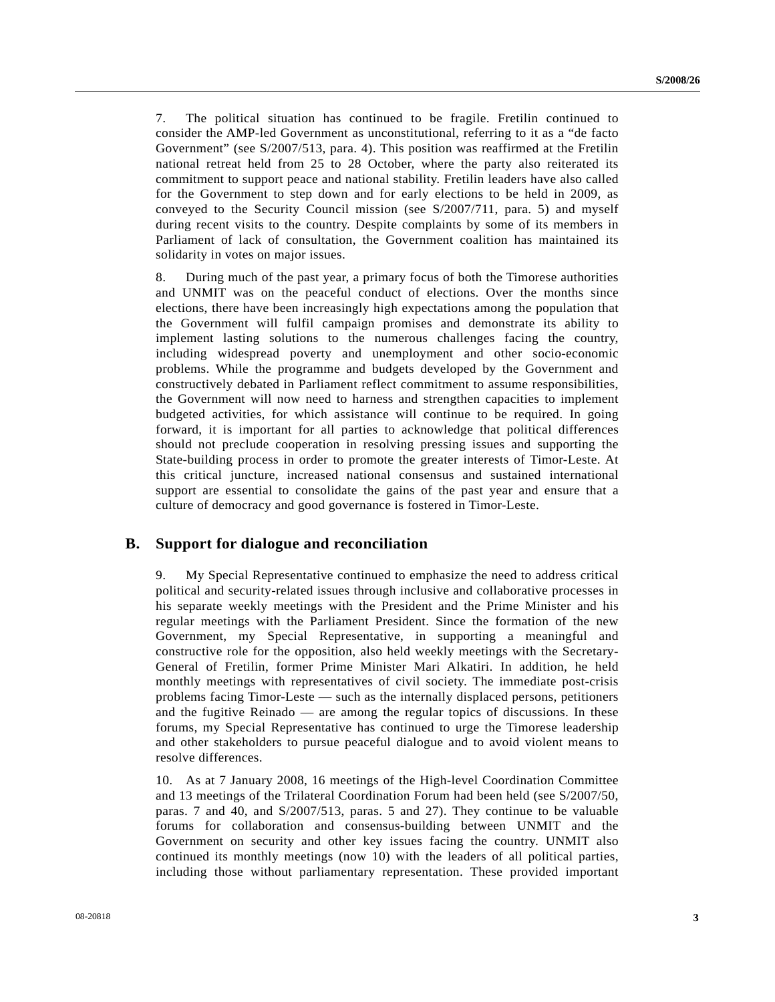7. The political situation has continued to be fragile. Fretilin continued to consider the AMP-led Government as unconstitutional, referring to it as a "de facto Government" (see S/2007/513, para. 4). This position was reaffirmed at the Fretilin national retreat held from 25 to 28 October, where the party also reiterated its commitment to support peace and national stability. Fretilin leaders have also called for the Government to step down and for early elections to be held in 2009, as conveyed to the Security Council mission (see S/2007/711, para. 5) and myself during recent visits to the country. Despite complaints by some of its members in Parliament of lack of consultation, the Government coalition has maintained its solidarity in votes on major issues.

8. During much of the past year, a primary focus of both the Timorese authorities and UNMIT was on the peaceful conduct of elections. Over the months since elections, there have been increasingly high expectations among the population that the Government will fulfil campaign promises and demonstrate its ability to implement lasting solutions to the numerous challenges facing the country, including widespread poverty and unemployment and other socio-economic problems. While the programme and budgets developed by the Government and constructively debated in Parliament reflect commitment to assume responsibilities, the Government will now need to harness and strengthen capacities to implement budgeted activities, for which assistance will continue to be required. In going forward, it is important for all parties to acknowledge that political differences should not preclude cooperation in resolving pressing issues and supporting the State-building process in order to promote the greater interests of Timor-Leste. At this critical juncture, increased national consensus and sustained international support are essential to consolidate the gains of the past year and ensure that a culture of democracy and good governance is fostered in Timor-Leste.

#### **B. Support for dialogue and reconciliation**

9. My Special Representative continued to emphasize the need to address critical political and security-related issues through inclusive and collaborative processes in his separate weekly meetings with the President and the Prime Minister and his regular meetings with the Parliament President. Since the formation of the new Government, my Special Representative, in supporting a meaningful and constructive role for the opposition, also held weekly meetings with the Secretary-General of Fretilin, former Prime Minister Mari Alkatiri. In addition, he held monthly meetings with representatives of civil society. The immediate post-crisis problems facing Timor-Leste — such as the internally displaced persons, petitioners and the fugitive Reinado — are among the regular topics of discussions. In these forums, my Special Representative has continued to urge the Timorese leadership and other stakeholders to pursue peaceful dialogue and to avoid violent means to resolve differences.

10. As at 7 January 2008, 16 meetings of the High-level Coordination Committee and 13 meetings of the Trilateral Coordination Forum had been held (see S/2007/50, paras. 7 and 40, and S/2007/513, paras. 5 and 27). They continue to be valuable forums for collaboration and consensus-building between UNMIT and the Government on security and other key issues facing the country. UNMIT also continued its monthly meetings (now 10) with the leaders of all political parties, including those without parliamentary representation. These provided important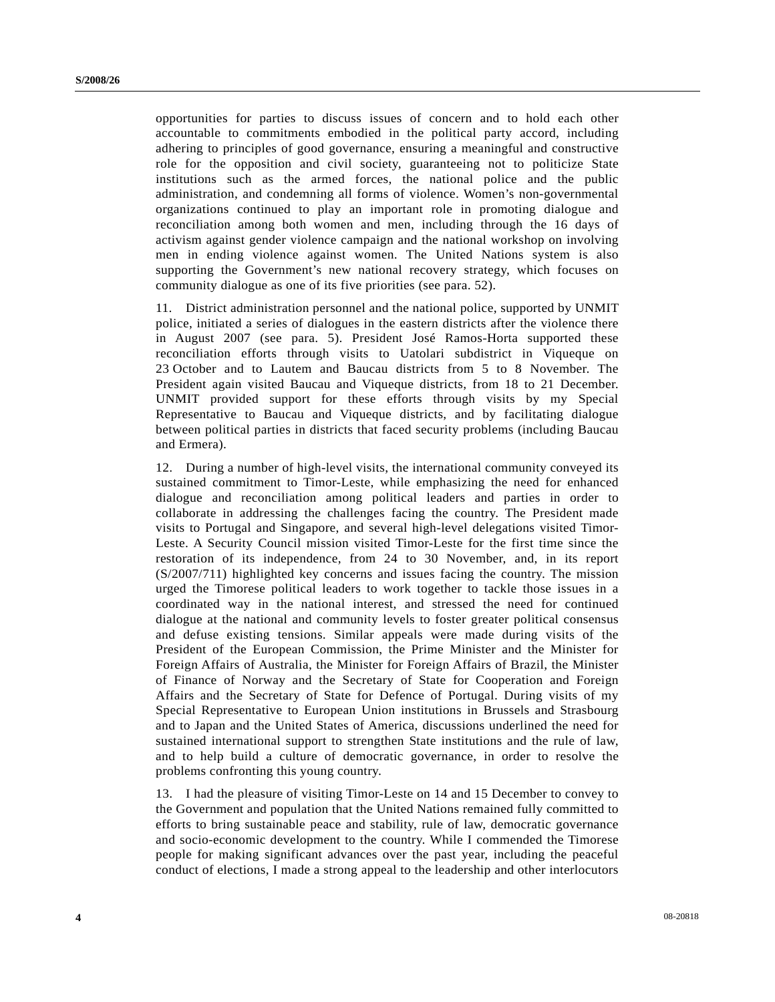opportunities for parties to discuss issues of concern and to hold each other accountable to commitments embodied in the political party accord, including adhering to principles of good governance, ensuring a meaningful and constructive role for the opposition and civil society, guaranteeing not to politicize State institutions such as the armed forces, the national police and the public administration, and condemning all forms of violence. Women's non-governmental organizations continued to play an important role in promoting dialogue and reconciliation among both women and men, including through the 16 days of activism against gender violence campaign and the national workshop on involving men in ending violence against women. The United Nations system is also supporting the Government's new national recovery strategy, which focuses on community dialogue as one of its five priorities (see para. 52).

11. District administration personnel and the national police, supported by UNMIT police, initiated a series of dialogues in the eastern districts after the violence there in August 2007 (see para. 5). President José Ramos-Horta supported these reconciliation efforts through visits to Uatolari subdistrict in Viqueque on 23 October and to Lautem and Baucau districts from 5 to 8 November. The President again visited Baucau and Viqueque districts, from 18 to 21 December. UNMIT provided support for these efforts through visits by my Special Representative to Baucau and Viqueque districts, and by facilitating dialogue between political parties in districts that faced security problems (including Baucau and Ermera).

12. During a number of high-level visits, the international community conveyed its sustained commitment to Timor-Leste, while emphasizing the need for enhanced dialogue and reconciliation among political leaders and parties in order to collaborate in addressing the challenges facing the country. The President made visits to Portugal and Singapore, and several high-level delegations visited Timor-Leste. A Security Council mission visited Timor-Leste for the first time since the restoration of its independence, from 24 to 30 November, and, in its report (S/2007/711) highlighted key concerns and issues facing the country. The mission urged the Timorese political leaders to work together to tackle those issues in a coordinated way in the national interest, and stressed the need for continued dialogue at the national and community levels to foster greater political consensus and defuse existing tensions. Similar appeals were made during visits of the President of the European Commission, the Prime Minister and the Minister for Foreign Affairs of Australia, the Minister for Foreign Affairs of Brazil, the Minister of Finance of Norway and the Secretary of State for Cooperation and Foreign Affairs and the Secretary of State for Defence of Portugal. During visits of my Special Representative to European Union institutions in Brussels and Strasbourg and to Japan and the United States of America, discussions underlined the need for sustained international support to strengthen State institutions and the rule of law, and to help build a culture of democratic governance, in order to resolve the problems confronting this young country.

13. I had the pleasure of visiting Timor-Leste on 14 and 15 December to convey to the Government and population that the United Nations remained fully committed to efforts to bring sustainable peace and stability, rule of law, democratic governance and socio-economic development to the country. While I commended the Timorese people for making significant advances over the past year, including the peaceful conduct of elections, I made a strong appeal to the leadership and other interlocutors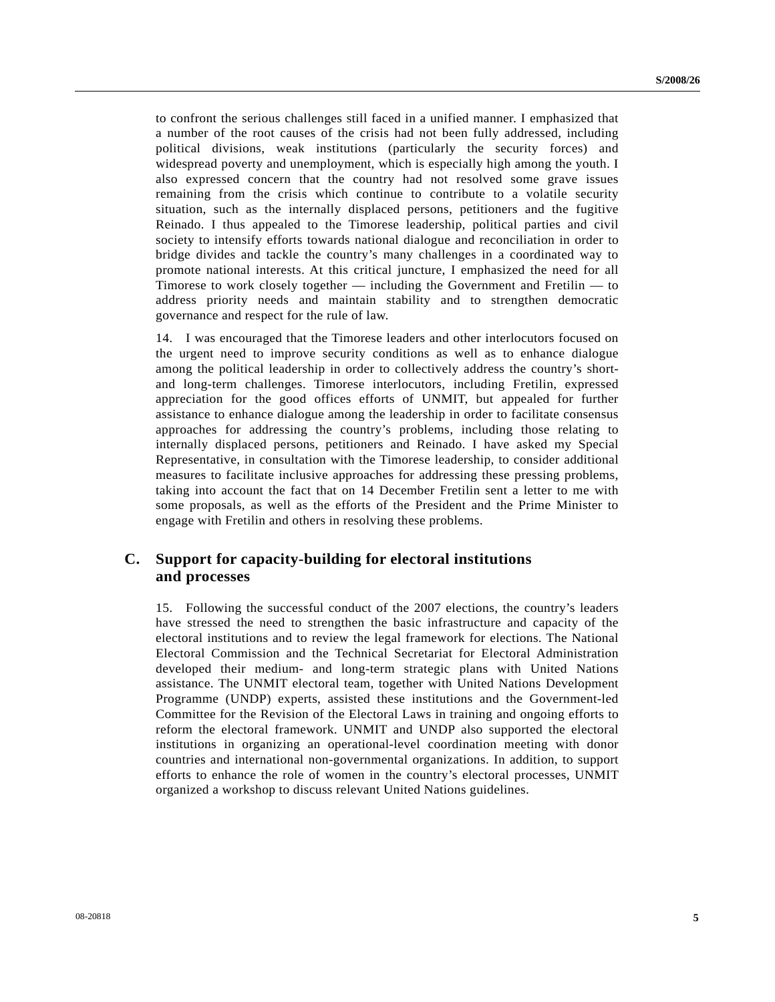to confront the serious challenges still faced in a unified manner. I emphasized that a number of the root causes of the crisis had not been fully addressed, including political divisions, weak institutions (particularly the security forces) and widespread poverty and unemployment, which is especially high among the youth. I also expressed concern that the country had not resolved some grave issues remaining from the crisis which continue to contribute to a volatile security situation, such as the internally displaced persons, petitioners and the fugitive Reinado. I thus appealed to the Timorese leadership, political parties and civil society to intensify efforts towards national dialogue and reconciliation in order to bridge divides and tackle the country's many challenges in a coordinated way to promote national interests. At this critical juncture, I emphasized the need for all Timorese to work closely together — including the Government and Fretilin — to address priority needs and maintain stability and to strengthen democratic governance and respect for the rule of law.

14. I was encouraged that the Timorese leaders and other interlocutors focused on the urgent need to improve security conditions as well as to enhance dialogue among the political leadership in order to collectively address the country's shortand long-term challenges. Timorese interlocutors, including Fretilin, expressed appreciation for the good offices efforts of UNMIT, but appealed for further assistance to enhance dialogue among the leadership in order to facilitate consensus approaches for addressing the country's problems, including those relating to internally displaced persons, petitioners and Reinado. I have asked my Special Representative, in consultation with the Timorese leadership, to consider additional measures to facilitate inclusive approaches for addressing these pressing problems, taking into account the fact that on 14 December Fretilin sent a letter to me with some proposals, as well as the efforts of the President and the Prime Minister to engage with Fretilin and others in resolving these problems.

### **C. Support for capacity-building for electoral institutions and processes**

15. Following the successful conduct of the 2007 elections, the country's leaders have stressed the need to strengthen the basic infrastructure and capacity of the electoral institutions and to review the legal framework for elections. The National Electoral Commission and the Technical Secretariat for Electoral Administration developed their medium- and long-term strategic plans with United Nations assistance. The UNMIT electoral team, together with United Nations Development Programme (UNDP) experts, assisted these institutions and the Government-led Committee for the Revision of the Electoral Laws in training and ongoing efforts to reform the electoral framework. UNMIT and UNDP also supported the electoral institutions in organizing an operational-level coordination meeting with donor countries and international non-governmental organizations. In addition, to support efforts to enhance the role of women in the country's electoral processes, UNMIT organized a workshop to discuss relevant United Nations guidelines.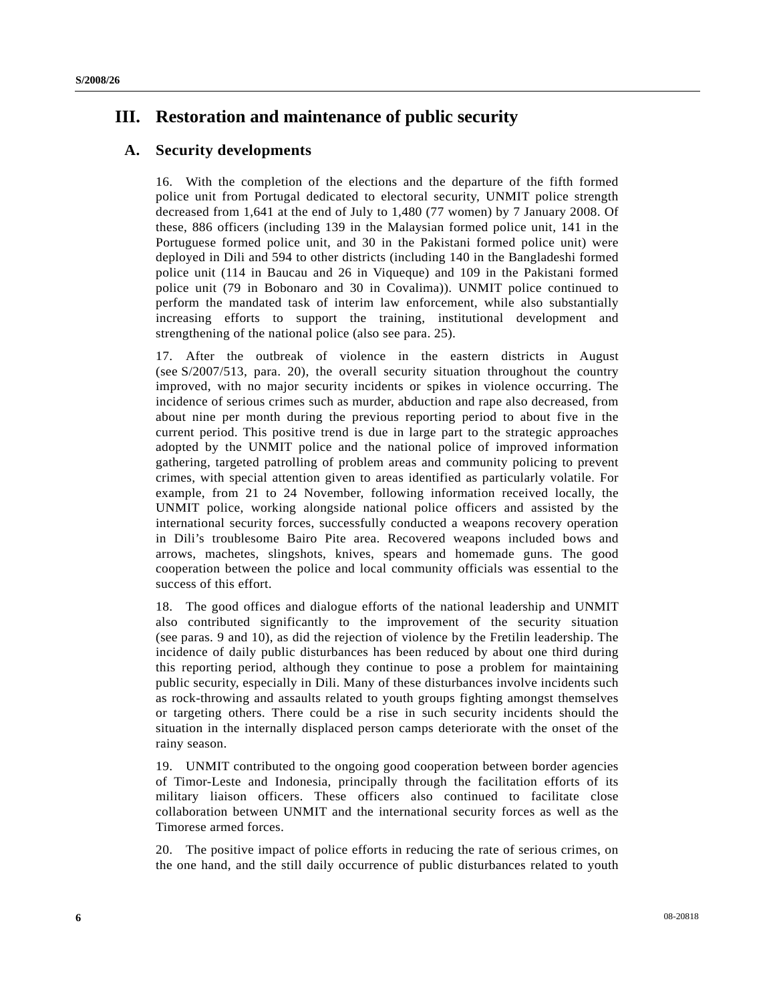# **III. Restoration and maintenance of public security**

### **A. Security developments**

16. With the completion of the elections and the departure of the fifth formed police unit from Portugal dedicated to electoral security, UNMIT police strength decreased from 1,641 at the end of July to 1,480 (77 women) by 7 January 2008. Of these, 886 officers (including 139 in the Malaysian formed police unit, 141 in the Portuguese formed police unit, and 30 in the Pakistani formed police unit) were deployed in Dili and 594 to other districts (including 140 in the Bangladeshi formed police unit (114 in Baucau and 26 in Viqueque) and 109 in the Pakistani formed police unit (79 in Bobonaro and 30 in Covalima)). UNMIT police continued to perform the mandated task of interim law enforcement, while also substantially increasing efforts to support the training, institutional development and strengthening of the national police (also see para. 25).

17. After the outbreak of violence in the eastern districts in August (see S/2007/513, para. 20), the overall security situation throughout the country improved, with no major security incidents or spikes in violence occurring. The incidence of serious crimes such as murder, abduction and rape also decreased, from about nine per month during the previous reporting period to about five in the current period. This positive trend is due in large part to the strategic approaches adopted by the UNMIT police and the national police of improved information gathering, targeted patrolling of problem areas and community policing to prevent crimes, with special attention given to areas identified as particularly volatile. For example, from 21 to 24 November, following information received locally, the UNMIT police, working alongside national police officers and assisted by the international security forces, successfully conducted a weapons recovery operation in Dili's troublesome Bairo Pite area. Recovered weapons included bows and arrows, machetes, slingshots, knives, spears and homemade guns. The good cooperation between the police and local community officials was essential to the success of this effort.

18. The good offices and dialogue efforts of the national leadership and UNMIT also contributed significantly to the improvement of the security situation (see paras. 9 and 10), as did the rejection of violence by the Fretilin leadership. The incidence of daily public disturbances has been reduced by about one third during this reporting period, although they continue to pose a problem for maintaining public security, especially in Dili. Many of these disturbances involve incidents such as rock-throwing and assaults related to youth groups fighting amongst themselves or targeting others. There could be a rise in such security incidents should the situation in the internally displaced person camps deteriorate with the onset of the rainy season.

19. UNMIT contributed to the ongoing good cooperation between border agencies of Timor-Leste and Indonesia, principally through the facilitation efforts of its military liaison officers. These officers also continued to facilitate close collaboration between UNMIT and the international security forces as well as the Timorese armed forces.

20. The positive impact of police efforts in reducing the rate of serious crimes, on the one hand, and the still daily occurrence of public disturbances related to youth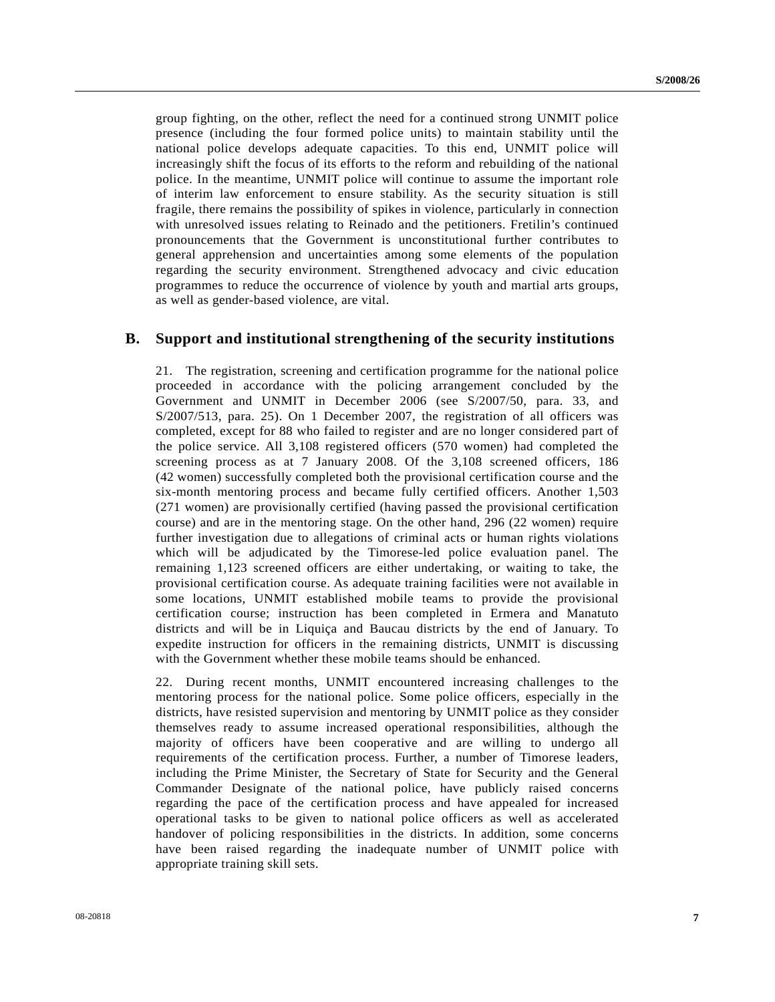group fighting, on the other, reflect the need for a continued strong UNMIT police presence (including the four formed police units) to maintain stability until the national police develops adequate capacities. To this end, UNMIT police will increasingly shift the focus of its efforts to the reform and rebuilding of the national police. In the meantime, UNMIT police will continue to assume the important role of interim law enforcement to ensure stability. As the security situation is still fragile, there remains the possibility of spikes in violence, particularly in connection with unresolved issues relating to Reinado and the petitioners. Fretilin's continued pronouncements that the Government is unconstitutional further contributes to general apprehension and uncertainties among some elements of the population regarding the security environment. Strengthened advocacy and civic education programmes to reduce the occurrence of violence by youth and martial arts groups, as well as gender-based violence, are vital.

### **B. Support and institutional strengthening of the security institutions**

21. The registration, screening and certification programme for the national police proceeded in accordance with the policing arrangement concluded by the Government and UNMIT in December 2006 (see S/2007/50, para. 33, and S/2007/513, para. 25). On 1 December 2007, the registration of all officers was completed, except for 88 who failed to register and are no longer considered part of the police service. All 3,108 registered officers (570 women) had completed the screening process as at 7 January 2008. Of the 3,108 screened officers, 186 (42 women) successfully completed both the provisional certification course and the six-month mentoring process and became fully certified officers. Another 1,503 (271 women) are provisionally certified (having passed the provisional certification course) and are in the mentoring stage. On the other hand, 296 (22 women) require further investigation due to allegations of criminal acts or human rights violations which will be adjudicated by the Timorese-led police evaluation panel. The remaining 1,123 screened officers are either undertaking, or waiting to take, the provisional certification course. As adequate training facilities were not available in some locations, UNMIT established mobile teams to provide the provisional certification course; instruction has been completed in Ermera and Manatuto districts and will be in Liquiça and Baucau districts by the end of January. To expedite instruction for officers in the remaining districts, UNMIT is discussing with the Government whether these mobile teams should be enhanced.

22. During recent months, UNMIT encountered increasing challenges to the mentoring process for the national police. Some police officers, especially in the districts, have resisted supervision and mentoring by UNMIT police as they consider themselves ready to assume increased operational responsibilities, although the majority of officers have been cooperative and are willing to undergo all requirements of the certification process. Further, a number of Timorese leaders, including the Prime Minister, the Secretary of State for Security and the General Commander Designate of the national police, have publicly raised concerns regarding the pace of the certification process and have appealed for increased operational tasks to be given to national police officers as well as accelerated handover of policing responsibilities in the districts. In addition, some concerns have been raised regarding the inadequate number of UNMIT police with appropriate training skill sets.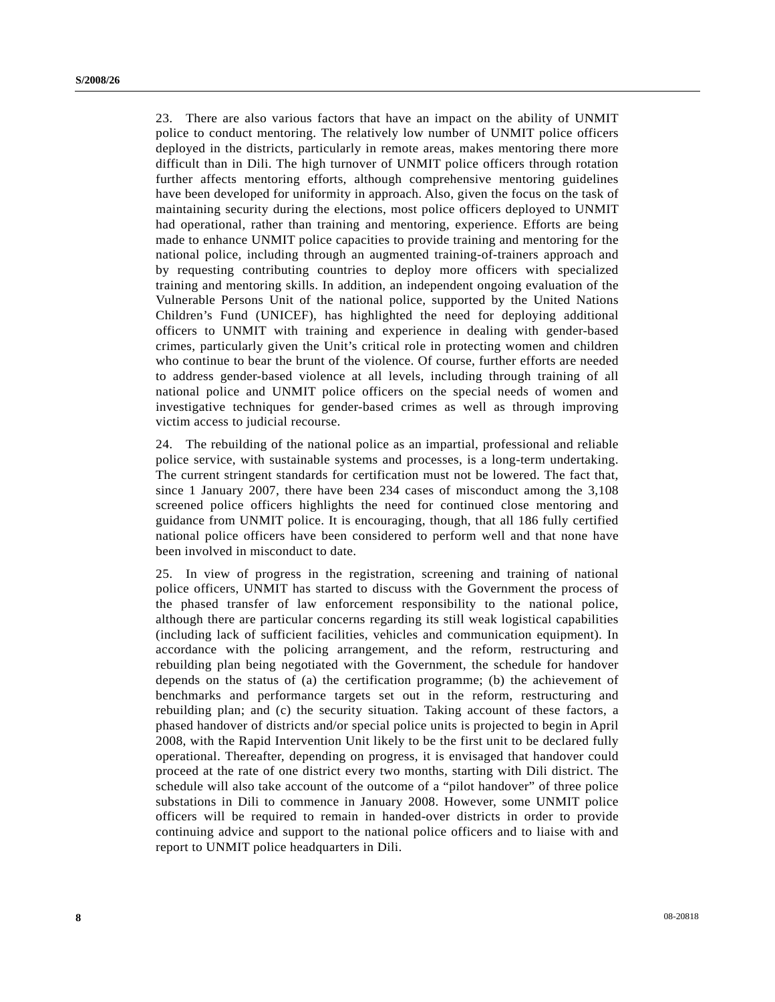23. There are also various factors that have an impact on the ability of UNMIT police to conduct mentoring. The relatively low number of UNMIT police officers deployed in the districts, particularly in remote areas, makes mentoring there more difficult than in Dili. The high turnover of UNMIT police officers through rotation further affects mentoring efforts, although comprehensive mentoring guidelines have been developed for uniformity in approach. Also, given the focus on the task of maintaining security during the elections, most police officers deployed to UNMIT had operational, rather than training and mentoring, experience. Efforts are being made to enhance UNMIT police capacities to provide training and mentoring for the national police, including through an augmented training-of-trainers approach and by requesting contributing countries to deploy more officers with specialized training and mentoring skills. In addition, an independent ongoing evaluation of the Vulnerable Persons Unit of the national police, supported by the United Nations Children's Fund (UNICEF), has highlighted the need for deploying additional officers to UNMIT with training and experience in dealing with gender-based crimes, particularly given the Unit's critical role in protecting women and children who continue to bear the brunt of the violence. Of course, further efforts are needed to address gender-based violence at all levels, including through training of all national police and UNMIT police officers on the special needs of women and investigative techniques for gender-based crimes as well as through improving victim access to judicial recourse.

24. The rebuilding of the national police as an impartial, professional and reliable police service, with sustainable systems and processes, is a long-term undertaking. The current stringent standards for certification must not be lowered. The fact that, since 1 January 2007, there have been 234 cases of misconduct among the 3,108 screened police officers highlights the need for continued close mentoring and guidance from UNMIT police. It is encouraging, though, that all 186 fully certified national police officers have been considered to perform well and that none have been involved in misconduct to date.

25. In view of progress in the registration, screening and training of national police officers, UNMIT has started to discuss with the Government the process of the phased transfer of law enforcement responsibility to the national police, although there are particular concerns regarding its still weak logistical capabilities (including lack of sufficient facilities, vehicles and communication equipment). In accordance with the policing arrangement, and the reform, restructuring and rebuilding plan being negotiated with the Government, the schedule for handover depends on the status of (a) the certification programme; (b) the achievement of benchmarks and performance targets set out in the reform, restructuring and rebuilding plan; and (c) the security situation. Taking account of these factors, a phased handover of districts and/or special police units is projected to begin in April 2008, with the Rapid Intervention Unit likely to be the first unit to be declared fully operational. Thereafter, depending on progress, it is envisaged that handover could proceed at the rate of one district every two months, starting with Dili district. The schedule will also take account of the outcome of a "pilot handover" of three police substations in Dili to commence in January 2008. However, some UNMIT police officers will be required to remain in handed-over districts in order to provide continuing advice and support to the national police officers and to liaise with and report to UNMIT police headquarters in Dili.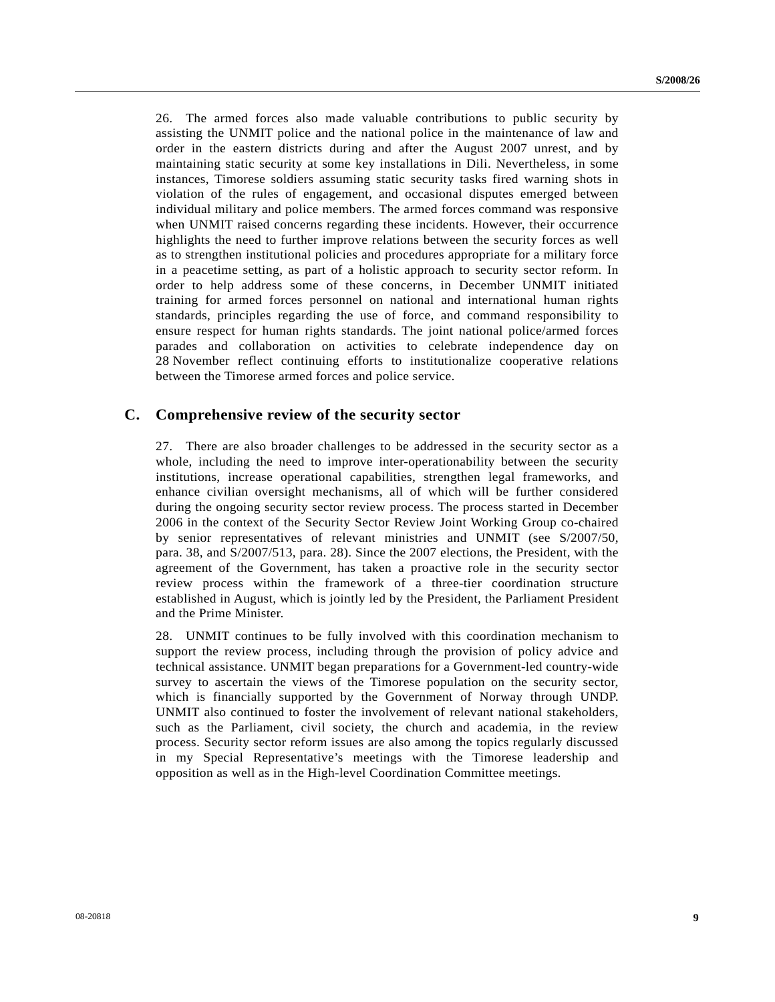26. The armed forces also made valuable contributions to public security by assisting the UNMIT police and the national police in the maintenance of law and order in the eastern districts during and after the August 2007 unrest, and by maintaining static security at some key installations in Dili. Nevertheless, in some instances, Timorese soldiers assuming static security tasks fired warning shots in violation of the rules of engagement, and occasional disputes emerged between individual military and police members. The armed forces command was responsive when UNMIT raised concerns regarding these incidents. However, their occurrence highlights the need to further improve relations between the security forces as well as to strengthen institutional policies and procedures appropriate for a military force in a peacetime setting, as part of a holistic approach to security sector reform. In order to help address some of these concerns, in December UNMIT initiated training for armed forces personnel on national and international human rights standards, principles regarding the use of force, and command responsibility to ensure respect for human rights standards. The joint national police/armed forces parades and collaboration on activities to celebrate independence day on 28 November reflect continuing efforts to institutionalize cooperative relations between the Timorese armed forces and police service.

### **C. Comprehensive review of the security sector**

27. There are also broader challenges to be addressed in the security sector as a whole, including the need to improve inter-operationability between the security institutions, increase operational capabilities, strengthen legal frameworks, and enhance civilian oversight mechanisms, all of which will be further considered during the ongoing security sector review process. The process started in December 2006 in the context of the Security Sector Review Joint Working Group co-chaired by senior representatives of relevant ministries and UNMIT (see S/2007/50, para. 38, and S/2007/513, para. 28). Since the 2007 elections, the President, with the agreement of the Government, has taken a proactive role in the security sector review process within the framework of a three-tier coordination structure established in August, which is jointly led by the President, the Parliament President and the Prime Minister.

28. UNMIT continues to be fully involved with this coordination mechanism to support the review process, including through the provision of policy advice and technical assistance. UNMIT began preparations for a Government-led country-wide survey to ascertain the views of the Timorese population on the security sector, which is financially supported by the Government of Norway through UNDP. UNMIT also continued to foster the involvement of relevant national stakeholders, such as the Parliament, civil society, the church and academia, in the review process. Security sector reform issues are also among the topics regularly discussed in my Special Representative's meetings with the Timorese leadership and opposition as well as in the High-level Coordination Committee meetings.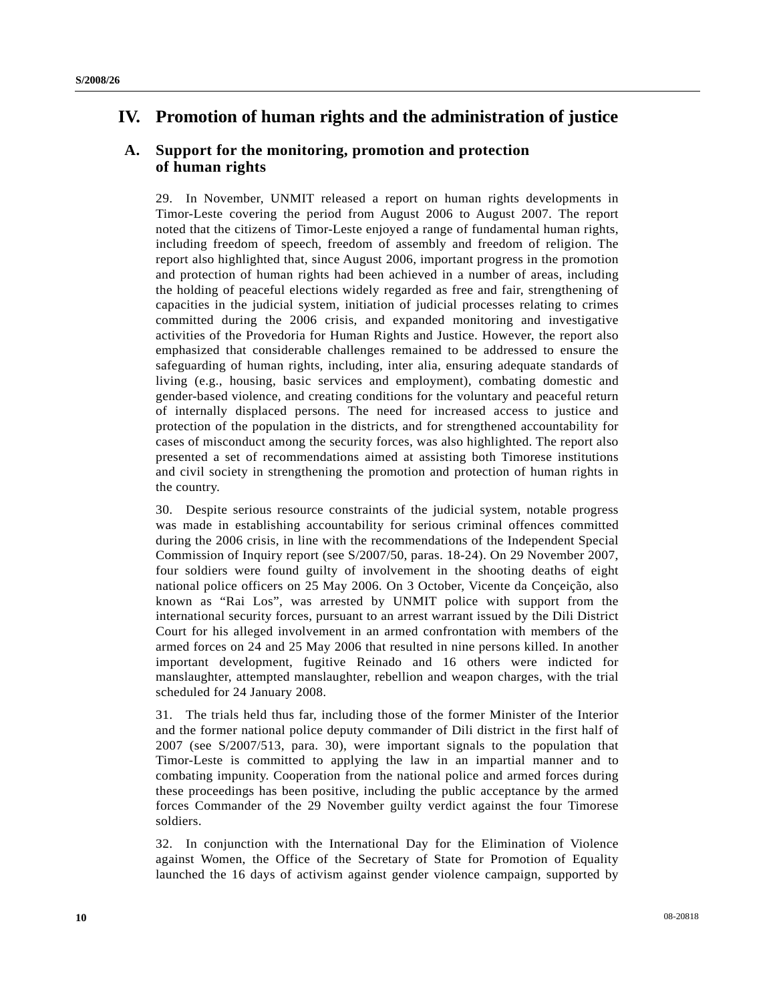# **IV. Promotion of human rights and the administration of justice**

### **A. Support for the monitoring, promotion and protection of human rights**

29. In November, UNMIT released a report on human rights developments in Timor-Leste covering the period from August 2006 to August 2007. The report noted that the citizens of Timor-Leste enjoyed a range of fundamental human rights, including freedom of speech, freedom of assembly and freedom of religion. The report also highlighted that, since August 2006, important progress in the promotion and protection of human rights had been achieved in a number of areas, including the holding of peaceful elections widely regarded as free and fair, strengthening of capacities in the judicial system, initiation of judicial processes relating to crimes committed during the 2006 crisis, and expanded monitoring and investigative activities of the Provedoria for Human Rights and Justice. However, the report also emphasized that considerable challenges remained to be addressed to ensure the safeguarding of human rights, including, inter alia, ensuring adequate standards of living (e.g., housing, basic services and employment), combating domestic and gender-based violence, and creating conditions for the voluntary and peaceful return of internally displaced persons. The need for increased access to justice and protection of the population in the districts, and for strengthened accountability for cases of misconduct among the security forces, was also highlighted. The report also presented a set of recommendations aimed at assisting both Timorese institutions and civil society in strengthening the promotion and protection of human rights in the country.

30. Despite serious resource constraints of the judicial system, notable progress was made in establishing accountability for serious criminal offences committed during the 2006 crisis, in line with the recommendations of the Independent Special Commission of Inquiry report (see S/2007/50, paras. 18-24). On 29 November 2007, four soldiers were found guilty of involvement in the shooting deaths of eight national police officers on 25 May 2006. On 3 October, Vicente da Conçeição, also known as "Rai Los", was arrested by UNMIT police with support from the international security forces, pursuant to an arrest warrant issued by the Dili District Court for his alleged involvement in an armed confrontation with members of the armed forces on 24 and 25 May 2006 that resulted in nine persons killed. In another important development, fugitive Reinado and 16 others were indicted for manslaughter, attempted manslaughter, rebellion and weapon charges, with the trial scheduled for 24 January 2008.

31. The trials held thus far, including those of the former Minister of the Interior and the former national police deputy commander of Dili district in the first half of 2007 (see S/2007/513, para. 30), were important signals to the population that Timor-Leste is committed to applying the law in an impartial manner and to combating impunity. Cooperation from the national police and armed forces during these proceedings has been positive, including the public acceptance by the armed forces Commander of the 29 November guilty verdict against the four Timorese soldiers.

32. In conjunction with the International Day for the Elimination of Violence against Women, the Office of the Secretary of State for Promotion of Equality launched the 16 days of activism against gender violence campaign, supported by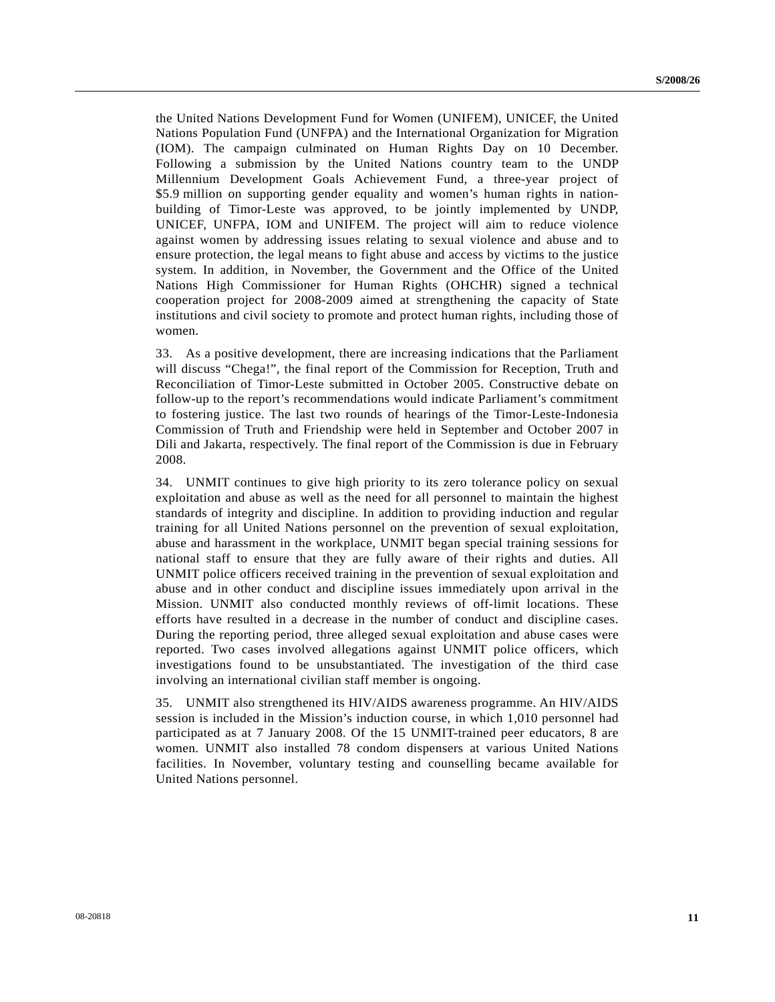the United Nations Development Fund for Women (UNIFEM), UNICEF, the United Nations Population Fund (UNFPA) and the International Organization for Migration (IOM). The campaign culminated on Human Rights Day on 10 December. Following a submission by the United Nations country team to the UNDP Millennium Development Goals Achievement Fund, a three-year project of \$5.9 million on supporting gender equality and women's human rights in nationbuilding of Timor-Leste was approved, to be jointly implemented by UNDP, UNICEF, UNFPA, IOM and UNIFEM. The project will aim to reduce violence against women by addressing issues relating to sexual violence and abuse and to ensure protection, the legal means to fight abuse and access by victims to the justice system. In addition, in November, the Government and the Office of the United Nations High Commissioner for Human Rights (OHCHR) signed a technical cooperation project for 2008-2009 aimed at strengthening the capacity of State institutions and civil society to promote and protect human rights, including those of women.

33. As a positive development, there are increasing indications that the Parliament will discuss "Chega!", the final report of the Commission for Reception, Truth and Reconciliation of Timor-Leste submitted in October 2005. Constructive debate on follow-up to the report's recommendations would indicate Parliament's commitment to fostering justice. The last two rounds of hearings of the Timor-Leste-Indonesia Commission of Truth and Friendship were held in September and October 2007 in Dili and Jakarta, respectively. The final report of the Commission is due in February 2008.

34. UNMIT continues to give high priority to its zero tolerance policy on sexual exploitation and abuse as well as the need for all personnel to maintain the highest standards of integrity and discipline. In addition to providing induction and regular training for all United Nations personnel on the prevention of sexual exploitation, abuse and harassment in the workplace, UNMIT began special training sessions for national staff to ensure that they are fully aware of their rights and duties. All UNMIT police officers received training in the prevention of sexual exploitation and abuse and in other conduct and discipline issues immediately upon arrival in the Mission. UNMIT also conducted monthly reviews of off-limit locations. These efforts have resulted in a decrease in the number of conduct and discipline cases. During the reporting period, three alleged sexual exploitation and abuse cases were reported. Two cases involved allegations against UNMIT police officers, which investigations found to be unsubstantiated. The investigation of the third case involving an international civilian staff member is ongoing.

35. UNMIT also strengthened its HIV/AIDS awareness programme. An HIV/AIDS session is included in the Mission's induction course, in which 1,010 personnel had participated as at 7 January 2008. Of the 15 UNMIT-trained peer educators, 8 are women. UNMIT also installed 78 condom dispensers at various United Nations facilities. In November, voluntary testing and counselling became available for United Nations personnel.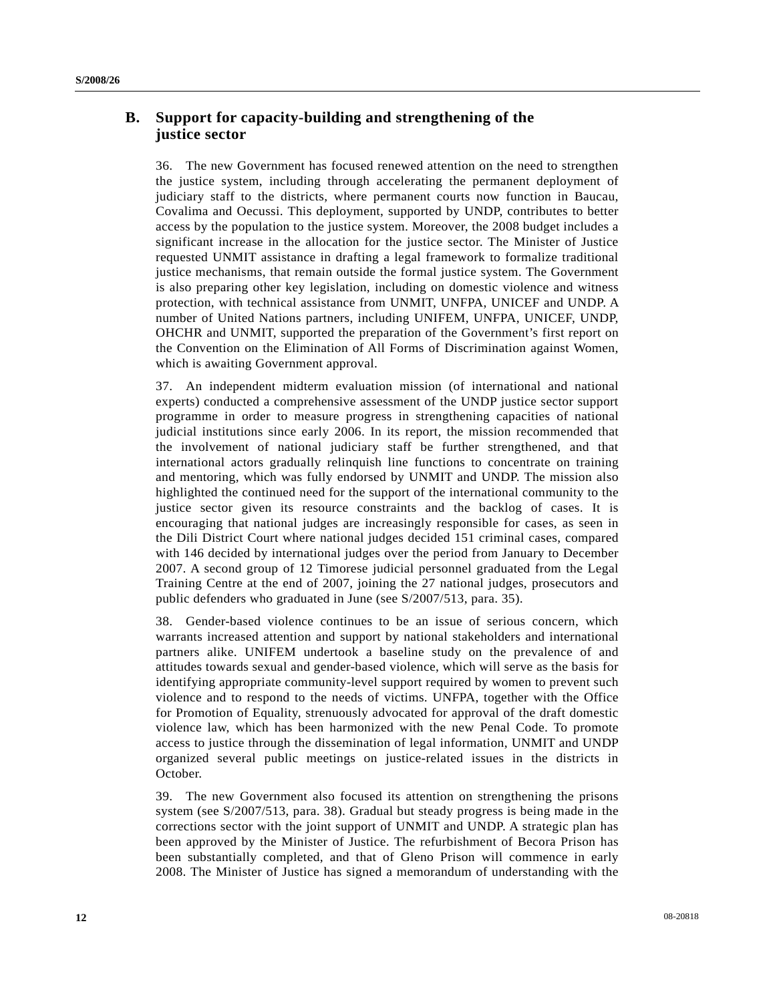### **B. Support for capacity-building and strengthening of the justice sector**

36. The new Government has focused renewed attention on the need to strengthen the justice system, including through accelerating the permanent deployment of judiciary staff to the districts, where permanent courts now function in Baucau, Covalima and Oecussi. This deployment, supported by UNDP, contributes to better access by the population to the justice system. Moreover, the 2008 budget includes a significant increase in the allocation for the justice sector. The Minister of Justice requested UNMIT assistance in drafting a legal framework to formalize traditional justice mechanisms, that remain outside the formal justice system. The Government is also preparing other key legislation, including on domestic violence and witness protection, with technical assistance from UNMIT, UNFPA, UNICEF and UNDP. A number of United Nations partners, including UNIFEM, UNFPA, UNICEF, UNDP, OHCHR and UNMIT, supported the preparation of the Government's first report on the Convention on the Elimination of All Forms of Discrimination against Women, which is awaiting Government approval.

37. An independent midterm evaluation mission (of international and national experts) conducted a comprehensive assessment of the UNDP justice sector support programme in order to measure progress in strengthening capacities of national judicial institutions since early 2006. In its report, the mission recommended that the involvement of national judiciary staff be further strengthened, and that international actors gradually relinquish line functions to concentrate on training and mentoring, which was fully endorsed by UNMIT and UNDP. The mission also highlighted the continued need for the support of the international community to the justice sector given its resource constraints and the backlog of cases. It is encouraging that national judges are increasingly responsible for cases, as seen in the Dili District Court where national judges decided 151 criminal cases, compared with 146 decided by international judges over the period from January to December 2007. A second group of 12 Timorese judicial personnel graduated from the Legal Training Centre at the end of 2007, joining the 27 national judges, prosecutors and public defenders who graduated in June (see S/2007/513, para. 35).

38. Gender-based violence continues to be an issue of serious concern, which warrants increased attention and support by national stakeholders and international partners alike. UNIFEM undertook a baseline study on the prevalence of and attitudes towards sexual and gender-based violence, which will serve as the basis for identifying appropriate community-level support required by women to prevent such violence and to respond to the needs of victims. UNFPA, together with the Office for Promotion of Equality, strenuously advocated for approval of the draft domestic violence law, which has been harmonized with the new Penal Code. To promote access to justice through the dissemination of legal information, UNMIT and UNDP organized several public meetings on justice-related issues in the districts in October.

39. The new Government also focused its attention on strengthening the prisons system (see S/2007/513, para. 38). Gradual but steady progress is being made in the corrections sector with the joint support of UNMIT and UNDP. A strategic plan has been approved by the Minister of Justice. The refurbishment of Becora Prison has been substantially completed, and that of Gleno Prison will commence in early 2008. The Minister of Justice has signed a memorandum of understanding with the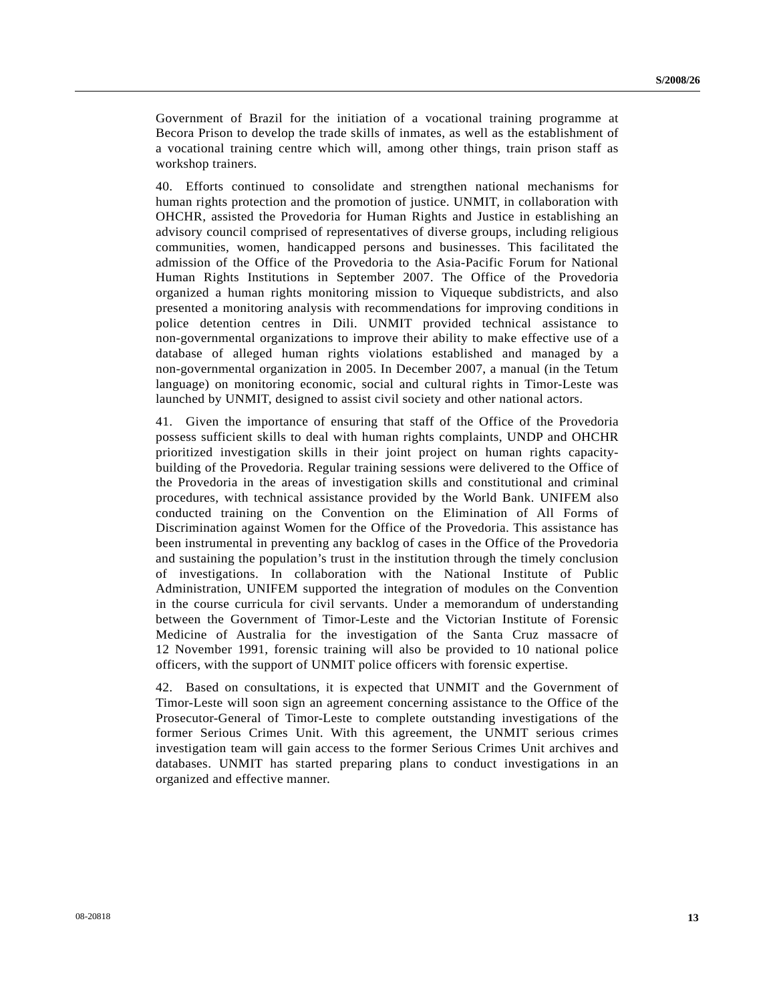Government of Brazil for the initiation of a vocational training programme at Becora Prison to develop the trade skills of inmates, as well as the establishment of a vocational training centre which will, among other things, train prison staff as workshop trainers.

40. Efforts continued to consolidate and strengthen national mechanisms for human rights protection and the promotion of justice. UNMIT, in collaboration with OHCHR, assisted the Provedoria for Human Rights and Justice in establishing an advisory council comprised of representatives of diverse groups, including religious communities, women, handicapped persons and businesses. This facilitated the admission of the Office of the Provedoria to the Asia-Pacific Forum for National Human Rights Institutions in September 2007. The Office of the Provedoria organized a human rights monitoring mission to Viqueque subdistricts, and also presented a monitoring analysis with recommendations for improving conditions in police detention centres in Dili. UNMIT provided technical assistance to non-governmental organizations to improve their ability to make effective use of a database of alleged human rights violations established and managed by a non-governmental organization in 2005. In December 2007, a manual (in the Tetum language) on monitoring economic, social and cultural rights in Timor-Leste was launched by UNMIT, designed to assist civil society and other national actors.

41. Given the importance of ensuring that staff of the Office of the Provedoria possess sufficient skills to deal with human rights complaints, UNDP and OHCHR prioritized investigation skills in their joint project on human rights capacitybuilding of the Provedoria. Regular training sessions were delivered to the Office of the Provedoria in the areas of investigation skills and constitutional and criminal procedures, with technical assistance provided by the World Bank. UNIFEM also conducted training on the Convention on the Elimination of All Forms of Discrimination against Women for the Office of the Provedoria. This assistance has been instrumental in preventing any backlog of cases in the Office of the Provedoria and sustaining the population's trust in the institution through the timely conclusion of investigations. In collaboration with the National Institute of Public Administration, UNIFEM supported the integration of modules on the Convention in the course curricula for civil servants. Under a memorandum of understanding between the Government of Timor-Leste and the Victorian Institute of Forensic Medicine of Australia for the investigation of the Santa Cruz massacre of 12 November 1991, forensic training will also be provided to 10 national police officers, with the support of UNMIT police officers with forensic expertise.

42. Based on consultations, it is expected that UNMIT and the Government of Timor-Leste will soon sign an agreement concerning assistance to the Office of the Prosecutor-General of Timor-Leste to complete outstanding investigations of the former Serious Crimes Unit. With this agreement, the UNMIT serious crimes investigation team will gain access to the former Serious Crimes Unit archives and databases. UNMIT has started preparing plans to conduct investigations in an organized and effective manner.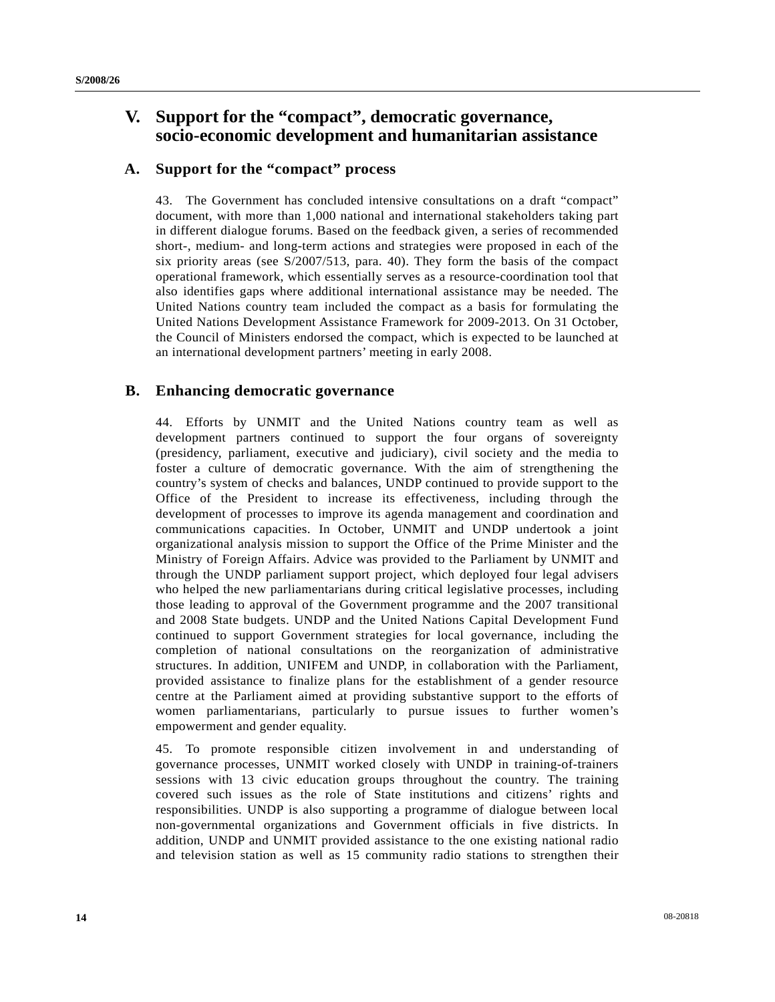## **V. Support for the "compact", democratic governance, socio-economic development and humanitarian assistance**

### **A. Support for the "compact" process**

43. The Government has concluded intensive consultations on a draft "compact" document, with more than 1,000 national and international stakeholders taking part in different dialogue forums. Based on the feedback given, a series of recommended short-, medium- and long-term actions and strategies were proposed in each of the six priority areas (see S/2007/513, para. 40). They form the basis of the compact operational framework, which essentially serves as a resource-coordination tool that also identifies gaps where additional international assistance may be needed. The United Nations country team included the compact as a basis for formulating the United Nations Development Assistance Framework for 2009-2013. On 31 October, the Council of Ministers endorsed the compact, which is expected to be launched at an international development partners' meeting in early 2008.

### **B. Enhancing democratic governance**

44. Efforts by UNMIT and the United Nations country team as well as development partners continued to support the four organs of sovereignty (presidency, parliament, executive and judiciary), civil society and the media to foster a culture of democratic governance. With the aim of strengthening the country's system of checks and balances, UNDP continued to provide support to the Office of the President to increase its effectiveness, including through the development of processes to improve its agenda management and coordination and communications capacities. In October, UNMIT and UNDP undertook a joint organizational analysis mission to support the Office of the Prime Minister and the Ministry of Foreign Affairs. Advice was provided to the Parliament by UNMIT and through the UNDP parliament support project, which deployed four legal advisers who helped the new parliamentarians during critical legislative processes, including those leading to approval of the Government programme and the 2007 transitional and 2008 State budgets. UNDP and the United Nations Capital Development Fund continued to support Government strategies for local governance, including the completion of national consultations on the reorganization of administrative structures. In addition, UNIFEM and UNDP, in collaboration with the Parliament, provided assistance to finalize plans for the establishment of a gender resource centre at the Parliament aimed at providing substantive support to the efforts of women parliamentarians, particularly to pursue issues to further women's empowerment and gender equality.

45. To promote responsible citizen involvement in and understanding of governance processes, UNMIT worked closely with UNDP in training-of-trainers sessions with 13 civic education groups throughout the country. The training covered such issues as the role of State institutions and citizens' rights and responsibilities. UNDP is also supporting a programme of dialogue between local non-governmental organizations and Government officials in five districts. In addition, UNDP and UNMIT provided assistance to the one existing national radio and television station as well as 15 community radio stations to strengthen their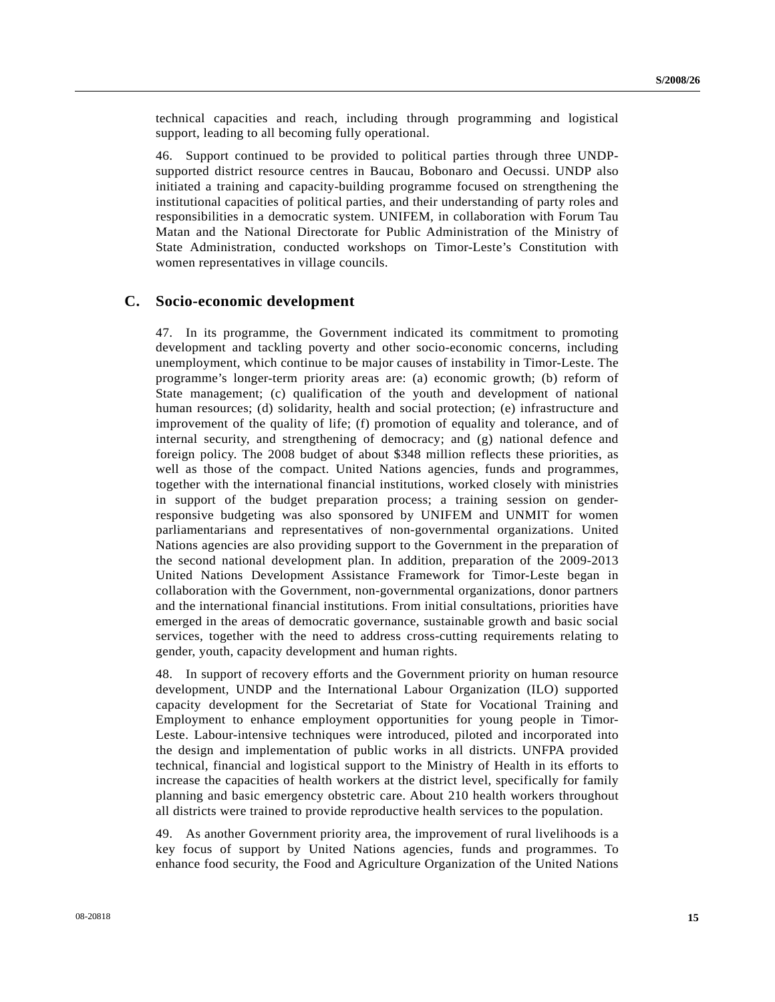technical capacities and reach, including through programming and logistical support, leading to all becoming fully operational.

46. Support continued to be provided to political parties through three UNDPsupported district resource centres in Baucau, Bobonaro and Oecussi. UNDP also initiated a training and capacity-building programme focused on strengthening the institutional capacities of political parties, and their understanding of party roles and responsibilities in a democratic system. UNIFEM, in collaboration with Forum Tau Matan and the National Directorate for Public Administration of the Ministry of State Administration, conducted workshops on Timor-Leste's Constitution with women representatives in village councils.

#### **C. Socio-economic development**

47. In its programme, the Government indicated its commitment to promoting development and tackling poverty and other socio-economic concerns, including unemployment, which continue to be major causes of instability in Timor-Leste. The programme's longer-term priority areas are: (a) economic growth; (b) reform of State management; (c) qualification of the youth and development of national human resources; (d) solidarity, health and social protection; (e) infrastructure and improvement of the quality of life; (f) promotion of equality and tolerance, and of internal security, and strengthening of democracy; and (g) national defence and foreign policy. The 2008 budget of about \$348 million reflects these priorities, as well as those of the compact. United Nations agencies, funds and programmes, together with the international financial institutions, worked closely with ministries in support of the budget preparation process; a training session on genderresponsive budgeting was also sponsored by UNIFEM and UNMIT for women parliamentarians and representatives of non-governmental organizations. United Nations agencies are also providing support to the Government in the preparation of the second national development plan. In addition, preparation of the 2009-2013 United Nations Development Assistance Framework for Timor-Leste began in collaboration with the Government, non-governmental organizations, donor partners and the international financial institutions. From initial consultations, priorities have emerged in the areas of democratic governance, sustainable growth and basic social services, together with the need to address cross-cutting requirements relating to gender, youth, capacity development and human rights.

48. In support of recovery efforts and the Government priority on human resource development, UNDP and the International Labour Organization (ILO) supported capacity development for the Secretariat of State for Vocational Training and Employment to enhance employment opportunities for young people in Timor-Leste. Labour-intensive techniques were introduced, piloted and incorporated into the design and implementation of public works in all districts. UNFPA provided technical, financial and logistical support to the Ministry of Health in its efforts to increase the capacities of health workers at the district level, specifically for family planning and basic emergency obstetric care. About 210 health workers throughout all districts were trained to provide reproductive health services to the population.

49. As another Government priority area, the improvement of rural livelihoods is a key focus of support by United Nations agencies, funds and programmes. To enhance food security, the Food and Agriculture Organization of the United Nations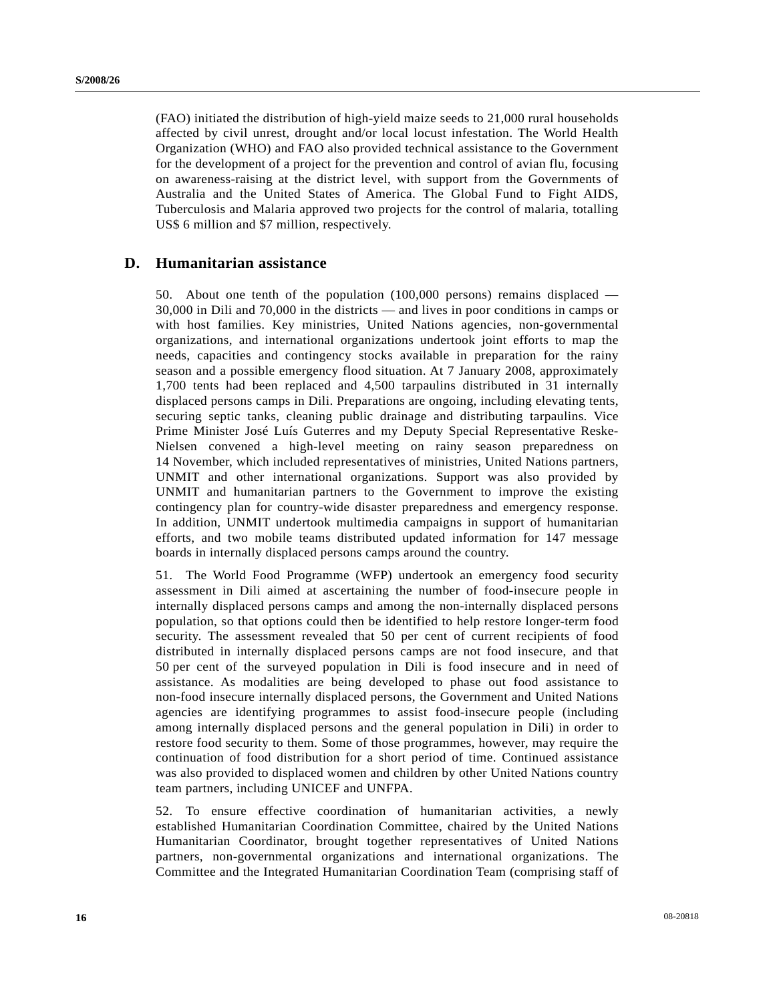(FAO) initiated the distribution of high-yield maize seeds to 21,000 rural households affected by civil unrest, drought and/or local locust infestation. The World Health Organization (WHO) and FAO also provided technical assistance to the Government for the development of a project for the prevention and control of avian flu, focusing on awareness-raising at the district level, with support from the Governments of Australia and the United States of America. The Global Fund to Fight AIDS, Tuberculosis and Malaria approved two projects for the control of malaria, totalling US\$ 6 million and \$7 million, respectively.

#### **D. Humanitarian assistance**

50. About one tenth of the population (100,000 persons) remains displaced — 30,000 in Dili and 70,000 in the districts — and lives in poor conditions in camps or with host families. Key ministries, United Nations agencies, non-governmental organizations, and international organizations undertook joint efforts to map the needs, capacities and contingency stocks available in preparation for the rainy season and a possible emergency flood situation. At 7 January 2008, approximately 1,700 tents had been replaced and 4,500 tarpaulins distributed in 31 internally displaced persons camps in Dili. Preparations are ongoing, including elevating tents, securing septic tanks, cleaning public drainage and distributing tarpaulins. Vice Prime Minister José Luís Guterres and my Deputy Special Representative Reske-Nielsen convened a high-level meeting on rainy season preparedness on 14 November, which included representatives of ministries, United Nations partners, UNMIT and other international organizations. Support was also provided by UNMIT and humanitarian partners to the Government to improve the existing contingency plan for country-wide disaster preparedness and emergency response. In addition, UNMIT undertook multimedia campaigns in support of humanitarian efforts, and two mobile teams distributed updated information for 147 message boards in internally displaced persons camps around the country.

51. The World Food Programme (WFP) undertook an emergency food security assessment in Dili aimed at ascertaining the number of food-insecure people in internally displaced persons camps and among the non-internally displaced persons population, so that options could then be identified to help restore longer-term food security. The assessment revealed that 50 per cent of current recipients of food distributed in internally displaced persons camps are not food insecure, and that 50 per cent of the surveyed population in Dili is food insecure and in need of assistance. As modalities are being developed to phase out food assistance to non-food insecure internally displaced persons, the Government and United Nations agencies are identifying programmes to assist food-insecure people (including among internally displaced persons and the general population in Dili) in order to restore food security to them. Some of those programmes, however, may require the continuation of food distribution for a short period of time. Continued assistance was also provided to displaced women and children by other United Nations country team partners, including UNICEF and UNFPA.

52. To ensure effective coordination of humanitarian activities, a newly established Humanitarian Coordination Committee, chaired by the United Nations Humanitarian Coordinator, brought together representatives of United Nations partners, non-governmental organizations and international organizations. The Committee and the Integrated Humanitarian Coordination Team (comprising staff of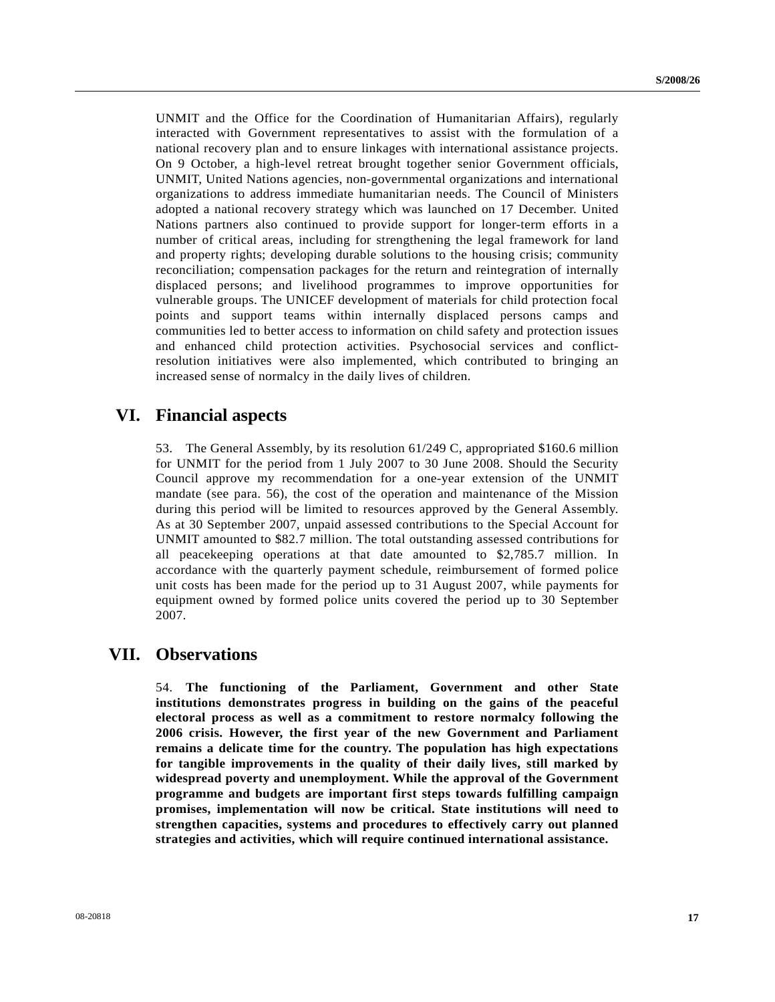UNMIT and the Office for the Coordination of Humanitarian Affairs), regularly interacted with Government representatives to assist with the formulation of a national recovery plan and to ensure linkages with international assistance projects. On 9 October, a high-level retreat brought together senior Government officials, UNMIT, United Nations agencies, non-governmental organizations and international organizations to address immediate humanitarian needs. The Council of Ministers adopted a national recovery strategy which was launched on 17 December. United Nations partners also continued to provide support for longer-term efforts in a number of critical areas, including for strengthening the legal framework for land and property rights; developing durable solutions to the housing crisis; community reconciliation; compensation packages for the return and reintegration of internally displaced persons; and livelihood programmes to improve opportunities for vulnerable groups. The UNICEF development of materials for child protection focal points and support teams within internally displaced persons camps and communities led to better access to information on child safety and protection issues and enhanced child protection activities. Psychosocial services and conflictresolution initiatives were also implemented, which contributed to bringing an increased sense of normalcy in the daily lives of children.

## **VI. Financial aspects**

53. The General Assembly, by its resolution 61/249 C, appropriated \$160.6 million for UNMIT for the period from 1 July 2007 to 30 June 2008. Should the Security Council approve my recommendation for a one-year extension of the UNMIT mandate (see para. 56), the cost of the operation and maintenance of the Mission during this period will be limited to resources approved by the General Assembly. As at 30 September 2007, unpaid assessed contributions to the Special Account for UNMIT amounted to \$82.7 million. The total outstanding assessed contributions for all peacekeeping operations at that date amounted to \$2,785.7 million. In accordance with the quarterly payment schedule, reimbursement of formed police unit costs has been made for the period up to 31 August 2007, while payments for equipment owned by formed police units covered the period up to 30 September 2007.

## **VII. Observations**

54. **The functioning of the Parliament, Government and other State institutions demonstrates progress in building on the gains of the peaceful electoral process as well as a commitment to restore normalcy following the 2006 crisis. However, the first year of the new Government and Parliament remains a delicate time for the country. The population has high expectations for tangible improvements in the quality of their daily lives, still marked by widespread poverty and unemployment. While the approval of the Government programme and budgets are important first steps towards fulfilling campaign promises, implementation will now be critical. State institutions will need to strengthen capacities, systems and procedures to effectively carry out planned strategies and activities, which will require continued international assistance.**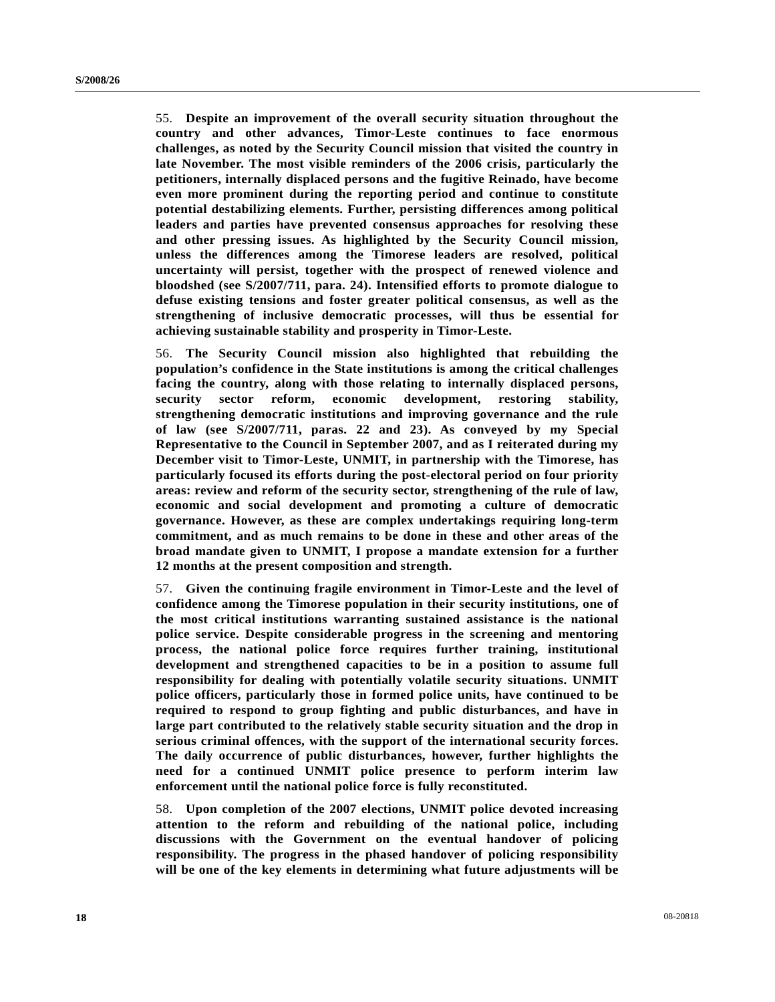55. **Despite an improvement of the overall security situation throughout the country and other advances, Timor-Leste continues to face enormous challenges, as noted by the Security Council mission that visited the country in late November. The most visible reminders of the 2006 crisis, particularly the petitioners, internally displaced persons and the fugitive Reinado, have become even more prominent during the reporting period and continue to constitute potential destabilizing elements. Further, persisting differences among political leaders and parties have prevented consensus approaches for resolving these and other pressing issues. As highlighted by the Security Council mission, unless the differences among the Timorese leaders are resolved, political uncertainty will persist, together with the prospect of renewed violence and bloodshed (see S/2007/711, para. 24). Intensified efforts to promote dialogue to defuse existing tensions and foster greater political consensus, as well as the strengthening of inclusive democratic processes, will thus be essential for achieving sustainable stability and prosperity in Timor-Leste.**

56. **The Security Council mission also highlighted that rebuilding the population's confidence in the State institutions is among the critical challenges facing the country, along with those relating to internally displaced persons, security sector reform, economic development, restoring stability, strengthening democratic institutions and improving governance and the rule of law (see S/2007/711, paras. 22 and 23). As conveyed by my Special Representative to the Council in September 2007, and as I reiterated during my December visit to Timor-Leste, UNMIT, in partnership with the Timorese, has particularly focused its efforts during the post-electoral period on four priority areas: review and reform of the security sector, strengthening of the rule of law, economic and social development and promoting a culture of democratic governance. However, as these are complex undertakings requiring long-term commitment, and as much remains to be done in these and other areas of the broad mandate given to UNMIT, I propose a mandate extension for a further 12 months at the present composition and strength.**

57. **Given the continuing fragile environment in Timor-Leste and the level of confidence among the Timorese population in their security institutions, one of the most critical institutions warranting sustained assistance is the national police service. Despite considerable progress in the screening and mentoring process, the national police force requires further training, institutional development and strengthened capacities to be in a position to assume full responsibility for dealing with potentially volatile security situations. UNMIT police officers, particularly those in formed police units, have continued to be required to respond to group fighting and public disturbances, and have in large part contributed to the relatively stable security situation and the drop in serious criminal offences, with the support of the international security forces. The daily occurrence of public disturbances, however, further highlights the need for a continued UNMIT police presence to perform interim law enforcement until the national police force is fully reconstituted.**

58. **Upon completion of the 2007 elections, UNMIT police devoted increasing attention to the reform and rebuilding of the national police, including discussions with the Government on the eventual handover of policing responsibility. The progress in the phased handover of policing responsibility will be one of the key elements in determining what future adjustments will be**